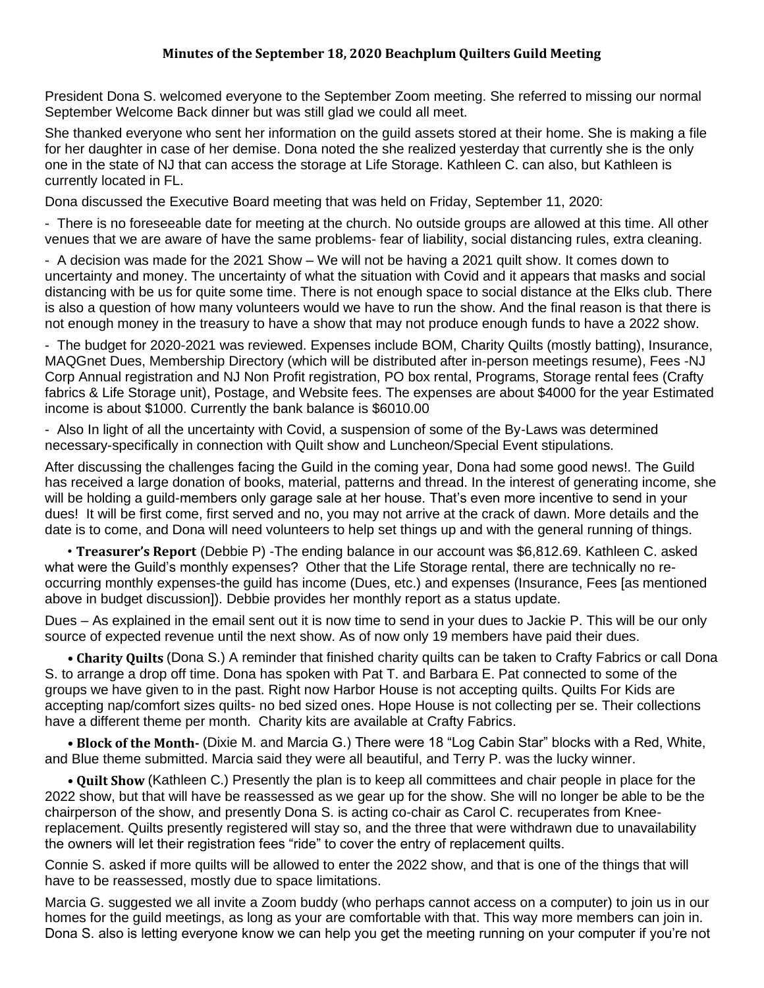## **Minutes of the September 18, 2020 Beachplum Quilters Guild Meeting**

President Dona S. welcomed everyone to the September Zoom meeting. She referred to missing our normal September Welcome Back dinner but was still glad we could all meet.

She thanked everyone who sent her information on the guild assets stored at their home. She is making a file for her daughter in case of her demise. Dona noted the she realized yesterday that currently she is the only one in the state of NJ that can access the storage at Life Storage. Kathleen C. can also, but Kathleen is currently located in FL.

Dona discussed the Executive Board meeting that was held on Friday, September 11, 2020:

- There is no foreseeable date for meeting at the church. No outside groups are allowed at this time. All other venues that we are aware of have the same problems- fear of liability, social distancing rules, extra cleaning.

- A decision was made for the 2021 Show – We will not be having a 2021 quilt show. It comes down to uncertainty and money. The uncertainty of what the situation with Covid and it appears that masks and social distancing with be us for quite some time. There is not enough space to social distance at the Elks club. There is also a question of how many volunteers would we have to run the show. And the final reason is that there is not enough money in the treasury to have a show that may not produce enough funds to have a 2022 show.

- The budget for 2020-2021 was reviewed. Expenses include BOM, Charity Quilts (mostly batting), Insurance, MAQGnet Dues, Membership Directory (which will be distributed after in-person meetings resume), Fees -NJ Corp Annual registration and NJ Non Profit registration, PO box rental, Programs, Storage rental fees (Crafty fabrics & Life Storage unit), Postage, and Website fees. The expenses are about \$4000 for the year Estimated income is about \$1000. Currently the bank balance is \$6010.00

- Also In light of all the uncertainty with Covid, a suspension of some of the By-Laws was determined necessary-specifically in connection with Quilt show and Luncheon/Special Event stipulations.

After discussing the challenges facing the Guild in the coming year, Dona had some good news!. The Guild has received a large donation of books, material, patterns and thread. In the interest of generating income, she will be holding a guild-members only garage sale at her house. That's even more incentive to send in your dues! It will be first come, first served and no, you may not arrive at the crack of dawn. More details and the date is to come, and Dona will need volunteers to help set things up and with the general running of things.

• **Treasurer's Report** (Debbie P) -The ending balance in our account was \$6,812.69. Kathleen C. asked what were the Guild's monthly expenses? Other that the Life Storage rental, there are technically no reoccurring monthly expenses-the guild has income (Dues, etc.) and expenses (Insurance, Fees [as mentioned above in budget discussion]). Debbie provides her monthly report as a status update.

Dues – As explained in the email sent out it is now time to send in your dues to Jackie P. This will be our only source of expected revenue until the next show. As of now only 19 members have paid their dues.

**• Charity Quilts** (Dona S.) A reminder that finished charity quilts can be taken to Crafty Fabrics or call Dona S. to arrange a drop off time. Dona has spoken with Pat T. and Barbara E. Pat connected to some of the groups we have given to in the past. Right now Harbor House is not accepting quilts. Quilts For Kids are accepting nap/comfort sizes quilts- no bed sized ones. Hope House is not collecting per se. Their collections have a different theme per month. Charity kits are available at Crafty Fabrics.

**• Block of the Month-** (Dixie M. and Marcia G.) There were 18 "Log Cabin Star" blocks with a Red, White, and Blue theme submitted. Marcia said they were all beautiful, and Terry P. was the lucky winner.

**• Quilt Show** (Kathleen C.) Presently the plan is to keep all committees and chair people in place for the 2022 show, but that will have be reassessed as we gear up for the show. She will no longer be able to be the chairperson of the show, and presently Dona S. is acting co-chair as Carol C. recuperates from Kneereplacement. Quilts presently registered will stay so, and the three that were withdrawn due to unavailability the owners will let their registration fees "ride" to cover the entry of replacement quilts.

Connie S. asked if more quilts will be allowed to enter the 2022 show, and that is one of the things that will have to be reassessed, mostly due to space limitations.

Marcia G. suggested we all invite a Zoom buddy (who perhaps cannot access on a computer) to join us in our homes for the guild meetings, as long as your are comfortable with that. This way more members can join in. Dona S. also is letting everyone know we can help you get the meeting running on your computer if you're not